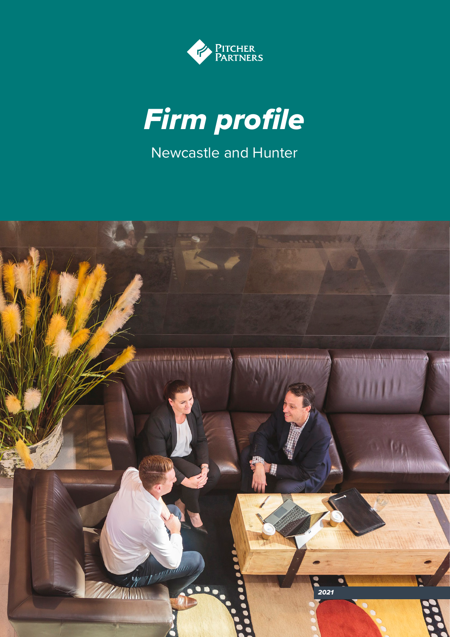



Newcastle and Hunter

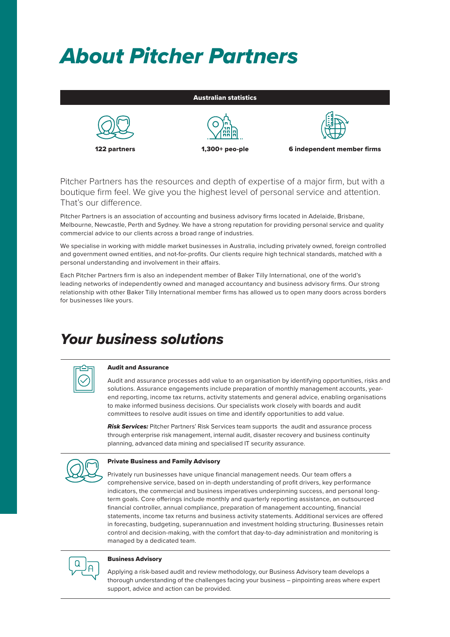# *About Pitcher Partners*

| <b>Australian statistics</b> |                |                            |
|------------------------------|----------------|----------------------------|
| 122 partners                 | 1,300+ peo-ple | 6 independent member firms |

Pitcher Partners has the resources and depth of expertise of a major firm, but with a boutique firm feel. We give you the highest level of personal service and attention. That's our difference.

Pitcher Partners is an association of accounting and business advisory firms located in Adelaide, Brisbane, Melbourne, Newcastle, Perth and Sydney. We have a strong reputation for providing personal service and quality commercial advice to our clients across a broad range of industries.

We specialise in working with middle market businesses in Australia, including privately owned, foreign controlled and government owned entities, and not-for-profits. Our clients require high technical standards, matched with a personal understanding and involvement in their affairs.

Each Pitcher Partners firm is also an independent member of Baker Tilly International, one of the world's leading networks of independently owned and managed accountancy and business advisory firms. Our strong relationship with other Baker Tilly International member firms has allowed us to open many doors across borders for businesses like yours.

# *Your business solutions*



# Audit and Assurance

Audit and assurance processes add value to an organisation by identifying opportunities, risks and solutions. Assurance engagements include preparation of monthly management accounts, yearend reporting, income tax returns, activity statements and general advice, enabling organisations to make informed business decisions. Our specialists work closely with boards and audit committees to resolve audit issues on time and identify opportunities to add value.

*Risk Services:* Pitcher Partners' Risk Services team supports the audit and assurance process through enterprise risk management, internal audit, disaster recovery and business continuity planning, advanced data mining and specialised IT security assurance.



# Private Business and Family Advisory

Privately run businesses have unique financial management needs. Our team offers a comprehensive service, based on in-depth understanding of profit drivers, key performance indicators, the commercial and business imperatives underpinning success, and personal longterm goals. Core offerings include monthly and quarterly reporting assistance, an outsourced financial controller, annual compliance, preparation of management accounting, financial statements, income tax returns and business activity statements. Additional services are offered in forecasting, budgeting, superannuation and investment holding structuring. Businesses retain control and decision-making, with the comfort that day-to-day administration and monitoring is managed by a dedicated team.



#### Business Advisory

Applying a risk-based audit and review methodology, our Business Advisory team develops a thorough understanding of the challenges facing your business – pinpointing areas where expert support, advice and action can be provided.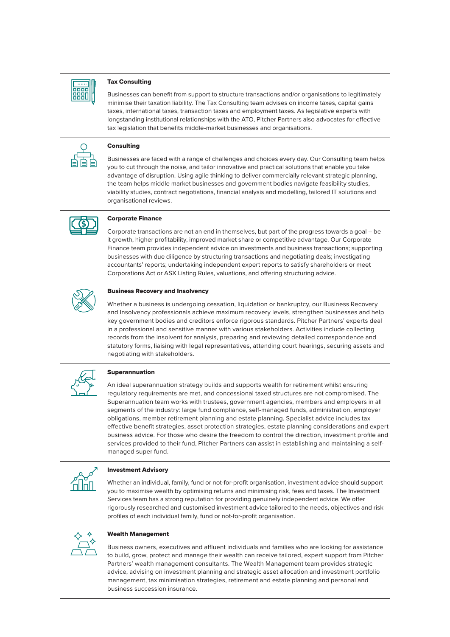

#### Tax Consulting

Businesses can benefit from support to structure transactions and/or organisations to legitimately minimise their taxation liability. The Tax Consulting team advises on income taxes, capital gains taxes, international taxes, transaction taxes and employment taxes. As legislative experts with longstanding institutional relationships with the ATO, Pitcher Partners also advocates for effective tax legislation that benefits middle-market businesses and organisations.



#### Consulting

Businesses are faced with a range of challenges and choices every day. Our Consulting team helps you to cut through the noise, and tailor innovative and practical solutions that enable you take advantage of disruption. Using agile thinking to deliver commercially relevant strategic planning, the team helps middle market businesses and government bodies navigate feasibility studies, viability studies, contract negotiations, financial analysis and modelling, tailored IT solutions and organisational reviews.



### Corporate Finance

Corporate transactions are not an end in themselves, but part of the progress towards a goal – be it growth, higher profitability, improved market share or competitive advantage. Our Corporate Finance team provides independent advice on investments and business transactions; supporting businesses with due diligence by structuring transactions and negotiating deals; investigating accountants' reports; undertaking independent expert reports to satisfy shareholders or meet Corporations Act or ASX Listing Rules, valuations, and offering structuring advice.



#### Business Recovery and Insolvency

Whether a business is undergoing cessation, liquidation or bankruptcy, our Business Recovery and Insolvency professionals achieve maximum recovery levels, strengthen businesses and help key government bodies and creditors enforce rigorous standards. Pitcher Partners' experts deal in a professional and sensitive manner with various stakeholders. Activities include collecting records from the insolvent for analysis, preparing and reviewing detailed correspondence and statutory forms, liaising with legal representatives, attending court hearings, securing assets and negotiating with stakeholders.



#### Superannuation

An ideal superannuation strategy builds and supports wealth for retirement whilst ensuring regulatory requirements are met, and concessional taxed structures are not compromised. The Superannuation team works with trustees, government agencies, members and employers in all segments of the industry: large fund compliance, self-managed funds, administration, employer obligations, member retirement planning and estate planning. Specialist advice includes tax effective benefit strategies, asset protection strategies, estate planning considerations and expert business advice. For those who desire the freedom to control the direction, investment profile and services provided to their fund, Pitcher Partners can assist in establishing and maintaining a selfmanaged super fund.



# Investment Advisory

Whether an individual, family, fund or not-for-profit organisation, investment advice should support you to maximise wealth by optimising returns and minimising risk, fees and taxes. The Investment Services team has a strong reputation for providing genuinely independent advice. We offer rigorously researched and customised investment advice tailored to the needs, objectives and risk profiles of each individual family, fund or not-for-profit organisation.



#### Wealth Management

Business owners, executives and affluent individuals and families who are looking for assistance to build, grow, protect and manage their wealth can receive tailored, expert support from Pitcher Partners' wealth management consultants. The Wealth Management team provides strategic advice, advising on investment planning and strategic asset allocation and investment portfolio management, tax minimisation strategies, retirement and estate planning and personal and business succession insurance.